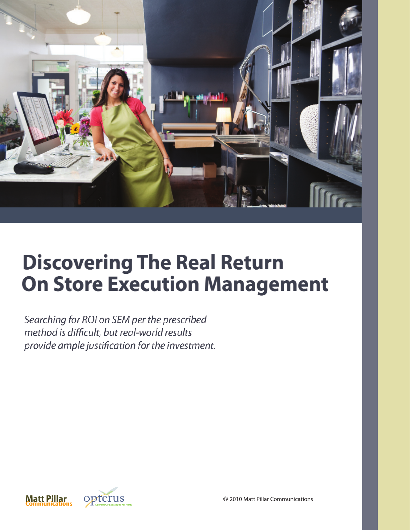

# **Discovering The Real Return On Store Execution Management**

Searching for ROI on SEM per the prescribed method is difficult, but real-world results provide ample justification for the investment.



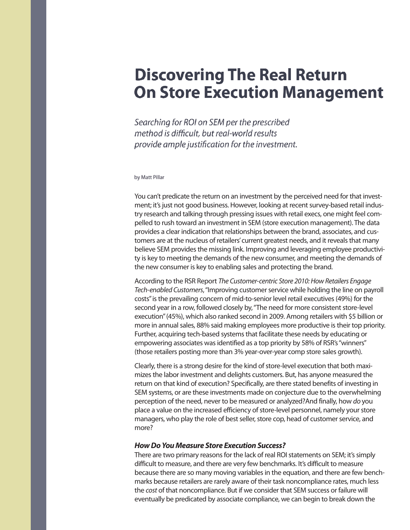# **Discovering The Real Return On Store Execution Management**

Searching for ROI on SEM per the prescribed method is difficult, but real-world results provide ample justification for the investment.

#### by Matt Pillar

You can't predicate the return on an investment by the perceived need for that investment; it's just not good business. However, looking at recent survey-based retail industry research and talking through pressing issues with retail execs, one might feel compelled to rush toward an investment in SEM (store execution management). The data provides a clear indication that relationships between the brand, associates, and customers are at the nucleus of retailers'current greatest needs, and it reveals that many believe SEM provides the missing link. Improving and leveraging employee productivity is key to meeting the demands of the new consumer, and meeting the demands of the new consumer is key to enabling sales and protecting the brand.

According to the RSR Report The Customer-centric Store 2010: How Retailers Engage Tech-enabled Customers, "Improving customer service while holding the line on payroll costs"is the prevailing concern of mid-to-senior level retail executives (49%) for the second year in a row, followed closely by, "The need for more consistent store-level execution"(45%), which also ranked second in 2009. Among retailers with \$5 billion or more in annual sales, 88% said making employees more productive is their top priority. Further, acquiring tech-based systems that facilitate these needs by educating or empowering associates was identified as a top priority by 58% of RSR's "winners" (those retailers posting more than 3% year-over-year comp store sales growth).

Clearly, there is a strong desire for the kind of store-level execution that both maximizes the labor investment and delights customers. But, has anyone measured the return on that kind of execution? Specifically, are there stated benefits of investing in SEM systems, or are these investments made on conjecture due to the overwhelming perception of the need, never to be measured or analyzed?And finally, how do you place a value on the increased efficiency of store-level personnel, namely your store managers, who play the role of best seller, store cop, head of customer service, and more?

### **How Do You Measure Store Execution Success?**

There are two primary reasons for the lack of real ROI statements on SEM; it's simply difficult to measure, and there are very few benchmarks. It's difficult to measure because there are so many moving variables in the equation, and there are few benchmarks because retailers are rarely aware of their task noncompliance rates, much less the cost of that noncompliance. But if we consider that SEM success or failure will eventually be predicated by associate compliance, we can begin to break down the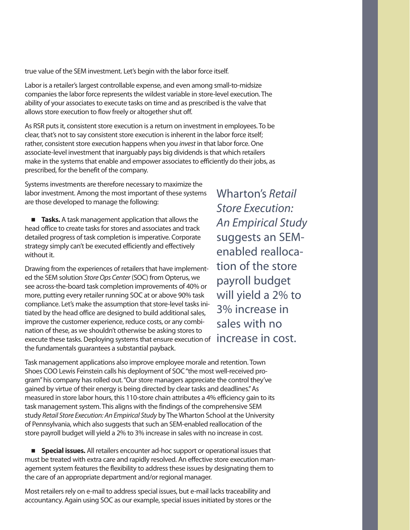true value of the SEM investment. Let's begin with the labor force itself.

Labor is a retailer's largest controllable expense, and even among small-to-midsize companies the labor force represents the wildest variable in store-level execution. The ability of your associates to execute tasks on time and as prescribed is the valve that allows store execution to flow freely or altogether shut off.

As RSR puts it, consistent store execution is a return on investment in employees. To be clear, that's not to say consistent store execution is inherent in the labor force itself; rather, consistent store execution happens when you invest in that labor force. One associate-level investment that inarguably pays big dividends is that which retailers make in the systems that enable and empower associates to efficiently do their jobs, as prescribed, for the benefit of the company.

Systems investments are therefore necessary to maximize the labor investment. Among the most important of these systems are those developed to manage the following:

**Tasks.** A task management application that allows the head office to create tasks for stores and associates and track detailed progress of task completion is imperative. Corporate strategy simply can't be executed efficiently and effectively without it.

Drawing from the experiences of retailers that have implemented the SEM solution Store Ops Center (SOC) from Opterus, we see across-the-board task completion improvements of 40% or more, putting every retailer running SOC at or above 90% task compliance. Let's make the assumption that store-level tasks initiated by the head office are designed to build additional sales, improve the customer experience, reduce costs, or any combination of these, as we shouldn't otherwise be asking stores to execute these tasks. Deploying systems that ensure execution of **increase in cost.** the fundamentals guarantees a substantial payback.

Wharton's Retail Store Execution: An Empirical Study suggests an SEMenabled reallocation of the store payroll budget will yield a 2% to 3% increase in sales with no

Task management applications also improve employee morale and retention. Town Shoes COO Lewis Feinstein calls his deployment of SOC "the most well-received program"his company has rolled out. "Our store managers appreciate the control they've gained by virtue of their energy is being directed by clear tasks and deadlines."As measured in store labor hours, this 110-store chain attributes a 4% efficiency gain to its task management system. This aligns with the findings of the comprehensive SEM study Retail Store Execution: An Empirical Study by The Wharton School at the University of Pennsylvania, which also suggests that such an SEM-enabled reallocation of the store payroll budget will yield a 2% to 3% increase in sales with no increase in cost.

**E** Special issues. All retailers encounter ad-hoc support or operational issues that must be treated with extra care and rapidly resolved. An effective store execution management system features the flexibility to address these issues by designating them to the care of an appropriate department and/or regional manager.

Most retailers rely on e-mail to address special issues, but e-mail lacks traceability and accountancy. Again using SOC as our example, special issues initiated by stores or the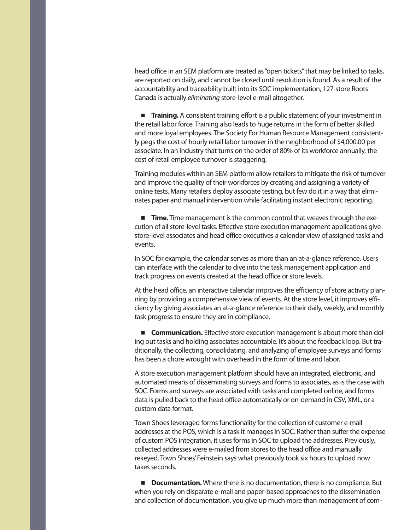head office in an SEM platform are treated as "open tickets" that may be linked to tasks, are reported on daily, and cannot be closed until resolution is found. As a result of the accountability and traceability built into its SOC implementation, 127-store Roots Canada is actually eliminating store-level e-mail altogether.

**Training.** A consistent training effort is a public statement of your investment in the retail labor force. Training also leads to huge returns in the form of better skilled and more loyal employees. The Society For Human Resource Management consistently pegs the cost of hourly retail labor turnover in the neighborhood of \$4,000.00 per associate. In an industry that turns on the order of 80% of its workforce annually, the cost of retail employee turnover is staggering.

Training modules within an SEM platform allow retailers to mitigate the risk of turnover and improve the quality of their workforces by creating and assigning a variety of online tests. Many retailers deploy associate testing, but few do it in a way that eliminates paper and manual intervention while facilitating instant electronic reporting.

**Time.** Time management is the common control that weaves through the execution of all store-level tasks. Effective store execution management applications give store-level associates and head office executives a calendar view of assigned tasks and events.

In SOC for example, the calendar serves as more than an at-a-glance reference. Users can interface with the calendar to dive into the task management application and track progress on events created at the head office or store levels.

At the head office, an interactive calendar improves the efficiency of store activity planning by providing a comprehensive view of events. At the store level, it improves efficiency by giving associates an at-a-glance reference to their daily, weekly, and monthly task progress to ensure they are in compliance.

**Communication.** Effective store execution management is about more than doling out tasks and holding associates accountable. It's about the feedback loop. But traditionally, the collecting, consolidating, and analyzing of employee surveys and forms has been a chore wrought with overhead in the form of time and labor.

A store execution management platform should have an integrated, electronic, and automated means of disseminating surveys and forms to associates, as is the case with SOC. Forms and surveys are associated with tasks and completed online, and forms data is pulled back to the head office automatically or on-demand in CSV, XML, or a custom data format.

Town Shoes leveraged forms functionality for the collection of customer e-mail addresses at the POS, which is a task it manages in SOC. Rather than suffer the expense of custom POS integration, it uses forms in SOC to upload the addresses. Previously, collected addresses were e-mailed from stores to the head office and manually rekeyed. Town Shoes'Feinstein says what previously took six hours to upload now takes seconds.

**Documentation.** Where there is no documentation, there is no compliance. But when you rely on disparate e-mail and paper-based approaches to the dissemination and collection of documentation, you give up much more than management of com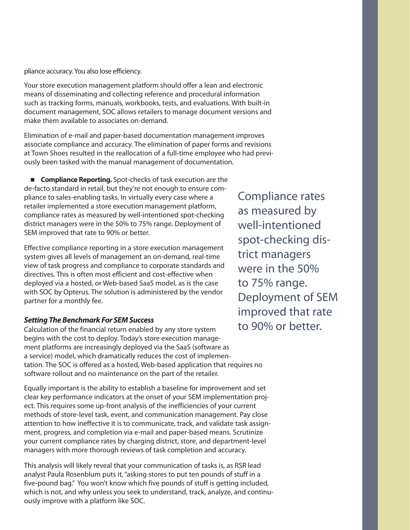pliance accuracy. You also lose efficiency.

Your store execution management platform should offer a lean and electronic means of disseminating and collecting reference and procedural information such as tracking forms, manuals, workbooks, tests, and evaluations. With built-in document management, SOC allows retailers to manage document versions and make them available to associates on-demand.

Elimination of e-mail and paper-based documentation management improves associate compliance and accuracy. The elimination of paper forms and revisions at Town Shoes resulted in the reallocation of a full-time employee who had previously been tasked with the manual management of documentation.

**Compliance Reporting.** Spot-checks of task execution are the de-facto standard in retail, but they're not enough to ensure compliance to sales-enabling tasks. In virtually every case where a retailer implemented a store execution management platform, compliance rates as measured by well-intentioned spot-checking district managers were in the 50% to 75% range. Deployment of SEM improved that rate to 90% or better.

Effective compliance reporting in a store execution management system gives all levels of management an on-demand, real-time view of task progress and compliance to corporate standards and directives. This is often most efficient and cost-effective when deployed via a hosted, or Web-based SaaS model, as is the case with SOC by Opterus. The solution is administered by the vendor partner for a monthly fee.

## **Setting The Benchmark For SEM Success**

Calculation of the financial return enabled by any store system begins with the cost to deploy. Today's store execution management platforms are increasingly deployed via the SaaS (software as a service) model, which dramatically reduces the cost of implementation. The SOC is offered as a hosted, Web-based application that requires no software rollout and no maintenance on the part of the retailer.

Equally important is the ability to establish a baseline for improvement and set clear key performance indicators at the onset of your SEM implementation project. This requires some up-front analysis of the inefficiencies of your current methods of store-level task, event, and communication management. Pay close attention to how ineffective it is to communicate, track, and validate task assignment, progress, and completion via e-mail and paper-based means. Scrutinize your current compliance rates by charging district, store, and department-level managers with more thorough reviews of task completion and accuracy.

This analysis will likely reveal that your communication of tasks is, as RSR lead analyst Paula Rosenblum puts it, "asking stores to put ten pounds of stuff in a five-pound bag." You won't know which five pounds of stuff is getting included, which is not, and why unless you seek to understand, track, analyze, and continuously improve with a platform like SOC.

Compliance rates as measured by well-intentioned spot-checking district managers were in the 50% to 75% range. Deployment of SEM improved that rate to 90% or better.